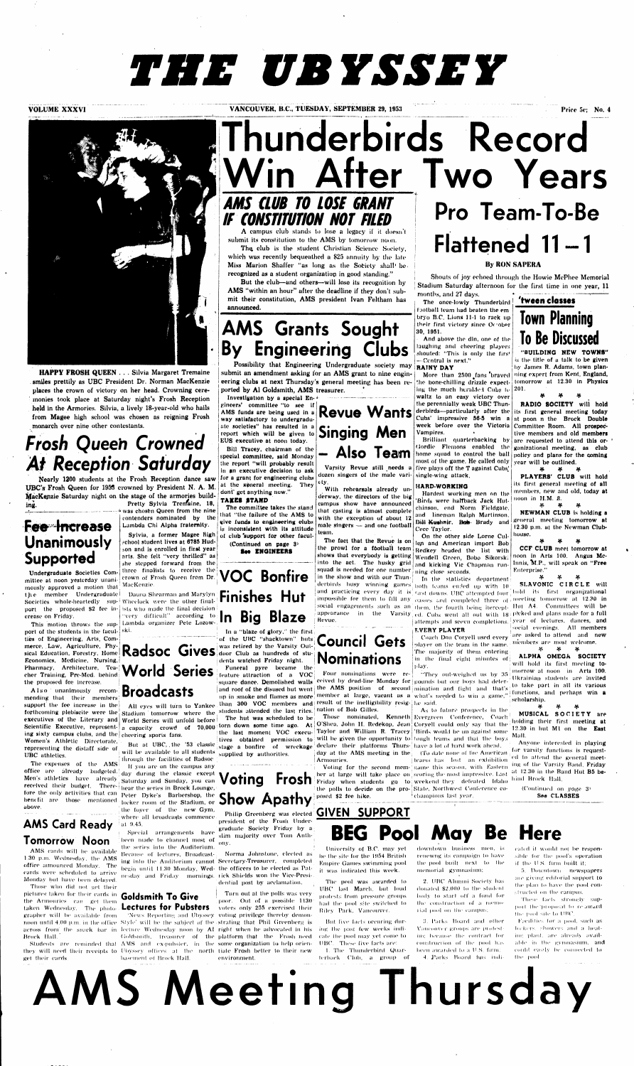# *THE UBYSSEY*



# *Frosh Queen Crowned*  **At Reception Saturday**

**HAPPY FROSH QUEEN . . . Silvia Margaret Tremaine smiles prettily as UBC President Dr. Norman MacKenzie places the crown of victory on her head. Crowning ceremonies took place at Saturday night's Frosh Reception held in the Armories. Silvia, a lively 18-year-old who hails from Magee high school was chosen as reigning Frosh monarch over nine other contestants.** 

**Nearly 1200 students at the Frosh Reception dance saw UBC's Frosh Queen for 1959 crowned by President N. A. M. •MacKenzie Saturday night on the stage of the armories building. Pretty Sylvia Tren/aine, 18,** 

**was chosen Queen from the nine contenders nominated by the Lambda Chi Alpha fraternity.**  Sylvia, a former Magee **school student lives at 6785 Hudson and is enrolled in first year arts. She felt "very thrilled" as she stepped forward from the**  tliree **finalists** to **receive** the crown of Frosh Queen **from Dr.**  MacKenzie.

**VOLUME XXXVI INCOUVER, B.C., TUESDAY, SEPTEMBER 29, 1953 Price 5c; No. 4 Price 5c; No. 4** 

t **he — member — Undergraduate | — Da**una Shearman and Marylyn the member Undergraduate Dauna Shearman and Marylyn **Finishes Hut port – the – proposed \$2 fee in- ists who made the final decision**  $\frac{1}{2}$ **This motion throws the sup-**Lambda organizer **Pete Lozow-**"very difficult" according **to** 

# merce, Law, Agriculture, Phy-**Radsoc Gives** was retired by the Varsity Out-<br>sical Education, Forestry, Home **Radsoc Gives** door Club as hundreds of stu-**World Series**

**Fee Increase** 

## **Unanimously Supported**

will be available to **all** students **EXECUTE:** The expenses of the AMS through the facilities of Radsoc

**Undergraduate Societies Committee at noon yesterday unanimously approved a motion that crease on Friday.** 

The club is the student Christian Science Society, **which was recently bequeathed a \$2'5 annuity by the late Miss Marion Shaffer "as long as the Society shall' be, recognized as a student organization in good standing."** 

# **AMS Grants Sought By Engineering**

**port of the students in the facul-**ski. **ties of Engineering, Arts, Commerce, Law, Agriculture, Phy-Economics, Medicine, Nursing, Pharmacy, Architecture, Teacher Training, Pre-Med. behind the proposed fee increase.** 

## **'tween dosses Town Planning Discussed**

**Als o unanimously recom-Broadcasts mending thai their members support the fee increase in the forthcoming plebiscite were the Stadium tomorrow where the students attended the last rites. nation of Bob Gilles.** executives of the Literary and World Series will unfold before **Scientific Executive, representing sixty campus clubs, and the**  cheering sports **fans. Women's Athletic** Directorate, **representing the** distaff side of **UBC athletics.** 

**above**  benefit are those mentioned

**World Series will unfold before** 

# **Thunderbirds Record**  After Two Years **Pro Team-To-Be**  *TO LOSE IF CONSTITUTION NOT FILED*

**A campus club stands to lose a legacy if it doesn't submit its constitution to the AMS by tomorrow noon.** 

**But the club—and others—will lose its recognition by AMS "within an hour" after the deadline if they don't submit their constitution, AMS president Ivan Feltham has announced.** 

**Possibility that Engineering Undergraduate society may submit an amendment asking for an AMS grant to nine engineering clubs at next Thursday's general meeting has been reported by Al Goldsmith, AMS treasurer.** 

office announced Monday. The begin until 11.30 Monday, Wed-the officers to be elected as Pateards were scheduled to arrive nesday and Friday mornings, tick Shields won the Vice-Presi-Because of lectures, Broadcast-Norma Johnstone, elected as ing into the Audllorium cannot Secretary-Treasurer, completed dential post by acclamation.

grapher will be available from . 'News Reporting and Ubyssey voting privilege thereby demonnoon until 4.00 p.m. in the office  $\text{Style'}$  will be the subject of the strating that Phil Greenberg is across from the snack bar in lecture Wednesday noon by Al right when he advocated in his Students are reminded that AMS and ex-pubster, in the some-or**ganizatio**n-to-help-orienthey will need their receipts to Ubyssey offices at Hie north tiale Frosh better to their new (ioldsniith, treasurer of the platform that the Frosh need Turn out at the polls was very poor. Out of a possible **1130**  voters only **255** exercised their environment.

**Investigation by a special En-\* gineers' committee "to see if AMS funds are being used in a way satisfactory to undergraduate societies" has resulted in a report which will be given to EUS executive at noon today.** 

**Bill Tracey, chairman of the speeiul committee, said Monday the report "will probably result in an executive decision to ask for a grant for engineering clubs at the Keneral meeting. They dont' get anything now."** 

#### **TAKES STAND**

**The committee takes the stand that "the failure of the AMS to tiive funds to engineering clubs is inconsistent with its attitude of club 'support for other facul-**

**(Continued on page 3> ENGINEERS** 

**But** at **UBC,** .the **'53** classic **stage a bonfire of wreckage 1 declare their platforms Thurs-**have a lot of hard work ahead. **supplied by authorities.** 

**Voting** 

#### **AMS Card Ready Tomorrow Noon**

AMS cards will be available **1.30** p.m. Wednesday, the AMS Monday but have been delayed.

Those who did not get their pictures taken for their cards in **Goldsmith To Give •**  the Armouries can gel them taken Wednesday. The photo **Lectures for Pubsters**  Brock Hall.

get their cards. The basement of Brock Hall.

**The expenses of the** AMSi **H' you are on the campus any office are already** budgeted...||day during the classic excep Men's athletics have already Saturday and Sunday, you can **received** their budget. There- $\frac{1}{2}$  hear the series in Brock Lounge, **tore the only activities that can**  $_{\text{Peter}}$  $_{\text{Dvke's}}$  $_{\text{Barbershop, the}}$ benefit are those mentioned tocker room of the Stadium, or **Show Apathy**  $\frac{1}{2}$  and  $\frac{1}{2}$  are hike. the foyer of the new Gym, where all broadcasts commence. at 0.45.

**The hut was scheduled to be <sup>Those</sup> nominated, Kenneth Evergreen Conference, Couch the last moment VOC execu- Taylor and William R. Tracey**  'Birds would be un against some As to future prospects in tho

world before will different control torn down some time ago. At O'Shea, John H. Redekop, Jean Coryell could only say that the **• lives obtained permission to will be given the opportunity to**  tough teams and that the boys

> Voting for the second mem- same this season, with Eastern **ber at large will take place on**  scoring the most impressive, Last **Friday when students go to**  weekend they defeated Idaho **the polls to decide on the pro- j**  State, Northwest Conference co-

Special arrangements have been made to channel most of the series into the Auditorium.

# **VOC Bonfire In Big Blaze**

**In a "blaze of glory," the first**  of the UBC "shacktown" huts **door Club as hundreds of students watched Friday night.** 

attempts and seevn completions. year of lectures, dances, **and SLAVONIC CIRCL E will**  social evenings. All members are asked to attend and new members are most welcome.

**Funeral pyre became the : feature attraction of a VOC** 

**All** eyes **will turn to Yankee than 300 VOC members and result of the inelligibility resig-**he said. **' square dance. Demolished walls ceived** by **dead-line Monday for**  pounds but our boys had deter-

(Continued on page 3<sup>1</sup> See CLASSES

But five facts occuring during Ihe past few weeks indicate the pool may yet come to UBC. These five facts are: I The Thunderbird Quarterback Club, a group of

**president of the Frosh Undergraduate Society Friday by a slim majority over Tom Anthony.** 

> 2. UBC Alumni Society has donated \$2,000 lo the student body to start off a fund for Ihe construction of a niemo-I ial pool on thi' campus;

> !!. Parks Hoard and other Vancouver groups are piulest ing because the contract for construction of Ihe pool has been awarded to a U.S. firm: **A. Parks Board has indi-**

eated it would not be responsible for the pool's operation if the U S. firm built it;

fi. Downtown newspapers are giving editorial support to Ihe plan to have the pool constructed on the campus.

These lads slrontdy sup port the "proposal follow award the pool site to UBC.

**Revue Wants Singing Men - Also Teaim** 

**Varsity Revue still needs a dozen singers of the male variety.** 

**With rehearsals already underway, the directors of the big campus show have announced that casting is almost complete with the exception of about 12 male singers — and one football team.** 

# Flattened 11-1

**The fact that the Revue is on On the other side Lome Cul squad is needed for one number ning close** seconds. in **the show and with our** Thun-

Revue.

#### **By RON SAPERA**

**Shouts of joy echoed through the Howie McPhee Memorial Stadium Saturday afternoon for the first time in one year, 11** 

**months, and 27 days. The once-lowly Thunderbird f jotball team had beaten the em bryo B.C. Lions 11-1 to rack up their first victory since Or'obpr 30, 1951.** 

**And above the din, one of the laughing and cheering players shouted: "This is only the firs' —Central is next." RAINY DAY** 

**ing the much heralded Cubs le 201. waltz to an easy victory over the perennially weak UBC Thunderbirds—particularly after the its first general meeting today Cubs' impressive 56-5 win a at poon n the Brock Double week before over the Victoria Committee Room. All prospec-Vampires.** 

**the prowl for a football team Redkey headed the list with shows that everybody is getting Wendell Green, Bobo Sikorsk;**  into the act. The husky grid and kicking Vic Chapman run-**)qn and American import Bob** 

**Brilliant quarterbacking by (Jordie Flemons enabled the**  home squad to control the ball policy and plans for the coming **most of the game. He called only five plays off the T against Cubs,' single-wing attack.** 

derbirds busy winning games both learns ended up with 10 and practicing every day it is  $_{\rm first}$  downs. UBC attempted four  $_{\rm hot}$  hold its first organizational impossible for them to fill any oasses and completed three of meeting tomorrow at **12.30** in social engagements such as an  $_{\rm them,~the~fourth~being~itercept.}$  Hut A4. Committees will be appearance in the Varsity ed. Cubs went all out with 18 picked and plans made for a **full In** the statistics department

**Council Gets Nominations** 

**I Armouries.** 

#### **HARD-WORKING**

**Hardest working men on the 'Birds were halfback Jack Hutchinson, end Norm Fieldgate, and lineman Ralph Martinson, Dill Kushnir, Bob Brady and Ceee Taylor.** 

## **Philip Creenberg was elected GIVEN SUPPORT BEG Pool May Be Here**

**More than 2500 fans 'braved ning expert from Kent, England, the bone-chilling drizzle expect-tomorrow at 12.30 in Physics "BUILDING NEW TOWNS" is the title of a talk to be given by James R. Adams, town plan-**

**j day at the AMS meeting in the**  (To date none of the American . teams has lost an exhibition



Coach Don Coryell used every player on the team in the same. The majority of them entering in Ihe final eight minutes of |.l ay.

and roof of the disused hut went the AMS position of second mination and fight and that's up in sm**oke and flames as more wi<sup>member</sup> at large, vacant as a what's needed to win a game," Four nominations were re- | "They out-weighed us by 35** 

champions last year.

*9p 9p Sp*  **RADIO SOCIETY will hold tive members and old members are requested to attend this organizational meeting, as club** 

**year will be outlined.**  *}f, }f. tfi* 

**PLAYERS' CLUB will hold its first general meeting of** all **members, new and old, today at noon in H.M.** *R.* 

**if. 9(. if. NEWMAN CLUB Is holding a general meeting tomorrow at 12.30 p.m. at the Newman Clubhouse.** 

*\*r \*r \*F*  **CCF CLUB meet tomorrow at** 

**noon In Arts 100. Angus Mc-Innis. 1M.P., will speak on "Free**  Enterprise." *H\* %\* %\** 

> \* # \* **ALPHA OMEGA SOCIETY will hold its first meeting tomorrow at noon in Arts 100.**  Ukrainian students are **invited**  lo **take** part **in all its various**  functions, and perhaps **win a scholarship.**

**>f >f\* ff,** 

**MUSICAL SOCIET Y are holding their first meeting at 12.30 in hut Ml on the East**  Malt.

Anyone interested in playing for varsity functions is requested lo attend the general meeting of the Varsity Rand, Friday at 12.30 in the Band **Hut B5** behind Brock Hall.

University of **B.C.** may yet be the site for the 1054 British Umpire Games swimming pool il was indicated this week.

The pool was awarded lo UBC last March, but loud protests from pressure groups had Ihe pool site switched lo Riley Park, Vancouver.

downtown business men. is renewng its campaign to have the pool built nexl to Hie memorial gymnasium;

> Facilit ies lor a pool, such as lockers, showers and a heating plant, are already available in Hie gymnasium, and could easily be connected to the pool

**AMS Meeting Thursday**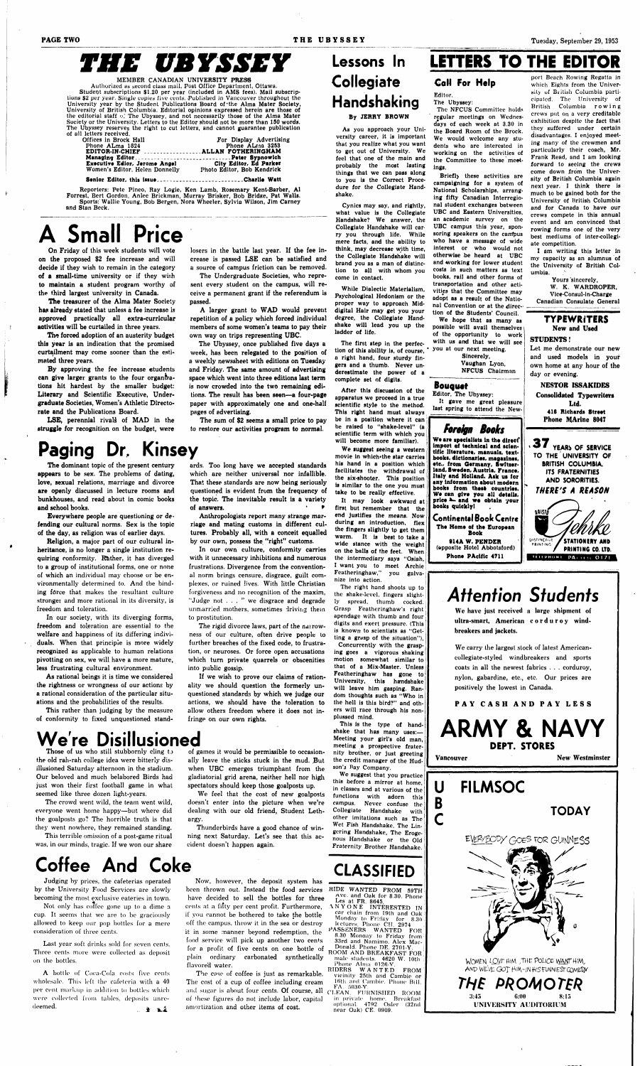# *THE UBYSSEY*

#### MEMBER CANADIAN UNIVERSITY PRESS

Authorized as second class mail, Post Office Department, Ottawa. Student subscriptions \$1.20 per year (included in AMS fees). Mail subscriptions \$2 per year. Single copies five cents. Published in Vancouver throughout the University year by the Student Publications Board of'the Alma Mater Society, University of British Columbia. Editorial opinions expressed herein are those of the editorial staff *>yl* The Ubyssey, and not necessarily those of the Alma Mater Society or the University. Letters to the Editor should not be more than 150 words. The Ubyssey reserves the right to cut letters, and cannot guarantee publication

| For Display Advertising            |
|------------------------------------|
| Phone ALraa 3253                   |
| EDITOR-IN-CHIEF ALLAN FOTHERINGHAM |
|                                    |
| City Editor, Ed Parker             |
| Photo Editor, Bob Kendrick         |
|                                    |

Senior Editor, this issue................................Charlie Watt

The treasurer of the Alma Mater Society has already stated that unless a fee increase is approved practically all extra-curricular activities will be curtailed in three years.

Reporters: Pete Pineo, Ray Logie, Ken Lamb, Rosemary Kent-Barber, Al Forrest, Bert Gordon, Anlee Brickman, Murray Brisker, Bob Bridge, Pat Walls. Sports:' Wallie Young, Bob Bergen, Nora Wheeler, Sylvia Wilson, Jim Carney and Stan Beck.

# **A Small Price**

On Friday of this week students will vote on the proposed \$2 fee increase and will decide if they wish to remain in the category of a small-time university or if they wish to maintain a student program worthy of the third largest university in Canada.

The forced adoption of an austerity budget this year is an indication that the promised curtailment may come sooner than the estimated three years.

By approving the fee increase students can give larger grants to the four organizations hit hardest by the smaller budget: Literary and Scientific Executive, Undergraduate Societies, Women's Athletic Directorate and the Publications Board.

LSE, perennial rivals of MAD in the struggle for recognition on the budget, were losers in the battle last year. If the fee increase is passed LSE can be satisfied and a source of campus friction can be removed.

The Undergraduate Societies, who represent every student on the campus, will receive a permanent grant if the referendum is passed.

A larger grant to WAD would prevent repetition of a policy which forced individual members of some women's teams to pay their own way on trips representing UBC.

The rigid divorce laws, part of the narrowness of our culture, often drive people lo further breaches of the fixed code, to frustration, or neuroses. Or force open accusations which turn private quarrels or obscenities into public gossip.

The Ubyssey, once published five days a week, has been relegated to the position of a weekly newssheet with editions on Tuesday and Friday. The same amount of advertising space which went into three editions last term is now crowded into the two remaining editions. The result has been seen—a four-page paper with approximately one and one-half pages of advertising.

Those of us who still stubbornly cling to the old rah-rah college idea were bitterly disillusioned Saturday afternoon in the stadium. Our beloved and much belabored Birds had just won their first football game in what seemed like three dozen light-years.

The sum of \$2 seems a small price to pay to restore our activities program to normal.

**Paging Dr. Kinsey** 

The dominant topic of the present century appears to be sex. The problems of dating, love, sexual relations, marriage and divorce are openly discussed in lecture rooms and bunkhouses, and read about in comic books and school books.

# **Collegiate** Handshaking

Everywhere people are questioning or defending our cultural norms. Sex is the topic of the day, as religion was of earlier days. Religion, a major part of our cultural inheritance, is no longer a single institution requiring conformity. Rather, it has diverged to a group of institutional forms, one or none of which an individual may choose or be environmentally determined to. And tbe binding force that makes the resultant culture stronger and more rational in its diversity, is freedom and toleration. In our society, with its diverging forms, freedom and toleration are essential to the welfare and happiness of its differing individuals. When that principle is more widely recognized as applicable to human relations pivotting on sex, we will have a more mature, less frustrating cultural environment. As rational beings it is time we considered the rightness or wrongness of our actions by a rational consideration of the particular situations and the probabilities of the results.

It may look awkward at first but remember that the end justifies the means. Now during an introduction, flex the fingers slightly to get them It is best to take a

This rather than judging by the measure of conformity to fixed unquestioned stand-

ards. Too long have we accepted standards which are neither universal nor infallible. That these standards are now being seriously questioned is evident from the frequency of the topic. The inevitable result is a variety of answers. ' *\** 

Anthropologists report many strange marriage and mating customs in different cultures. Probably all, with a conceit equalled

#### by our own, possess the "right" customs.

A bottle of Coca-Cola costs five cents wholesale. This left Ihe cafeteria with a 40 per cent markup in addition to bottles which were collected from tables, deposits unredeemed.  $\bullet$  ,  $\bullet$   $\bullet$   $\bullet$   $\bullet$ 

In our own culture, conformity carries with it unnecessary inhibitions and numerous frustrations. Divergence from the conventional norm brings censure, disgrace, guilt complexes, or ruined lives. With little Christian forgiveness and no recognition of the maxim, "Judge not ... " we disgrace and degrade unmarried mothers, sometimes driving thein to prostitution.

If we wish to prove our claims of rationality we should question the formerly unquestioned standards by which we judge our actions, we should have the toleration to allow others freedom where it does not infringe on our own rights.

> ROOM AND BREAKFAST FOR male students. 4620 W. 10th Phone Alma 0126-Y

> RIDERS WANTED FROM vicinity 25th and Cambie or 16th and Cambie. Phone Bill, FA. 5030-Y.

# **We're Disillusioned**

Briefly these activities are campaigning for a system of National Scholarships, arranging fifty Canadian Interregional student exchanges between UBC and Eastern Universities, an academic survey on the UBC campus this year, sponsoring speakers on the cambus who have a message of wide interest or who would not otherwise be heard at UBC and working for lower student costs in such matters as text books, rail and other forms of transportation and other activities that the Committee may adopt as a result of the National Convention or at the direction of the Students' Council.

The crowd went wild, the team went wild, everyone went home happy—but where did the goalposts go? The horrible truth is that they went nowhere, they remained standing.

This terrible omission of a post-game ritual was, in our minds, tragic. If we won our share

of games it would be permissible to occasionally leave the sticks stuck in the mud. But when UBC emerges triumphant from the gladiatorial grid arena, neither hell nor high spectators should keep those goalposts up.

We feel that the cost of new goalposts doesn't enter into the picture when we're dealing with our old friend, Student Lethargy-

Thunderbirds have a good chance of winning next Saturday. Let's see that this accident doesn't happen again.

Editor, The Ubyssey: It gave me great pleasure last spring to attend the New-

# **Coffee And Coke**

# Lessons In **LETTERS TO THE EDITOR**

By JERRY BROWN

As you approach your University career, it is important that you realize what you want to get out of University. We feel that one of the main and probably the most lasting things that we can pass along to you is the Correct Procedure for the Collegiate Handshake.

> **SIAA W. PENDER** (apposite Hotel Abbotsford) Phone PAcific 4711

Cynics may say, and rightly, what value is the Collegiate Handshake? We answer, the Collegiate Handshake will carry you through life. While mere facts, and the ability to think, may decrease with time, the Collegiate Handshake will brand you as a man of distinction to all with whom you come in contact.

While Dialectic Materialism, Psychological Hedonism or the proper way to approach Middigital Hair may get you your degree, the Collegiate Handshake will lead you up the ladder of life.

The first step in the perfection of this ability is, of course, ' a right hand, four sturdy fingers and a thumb. Never underestimate the power of a complete set of digits.

After this discussion of the apparatus we proceed in a true scientific style to the method. This right hand must always be in a position where it can j be raised to "shake-level" (a scientific term with which you will become more familiar).

We suggest seeing a western movie in which'the star carries his hand in a position which facilitates the withdrawal of the six-shooter. This position is similar to the one you must take to be really effective.

wide stance with the weight on the balls of the feet. When the intermediary says "Osiah, I want you to meet Archie Featheringhaw," you galvanize into action.

The right hand shoots up to the shake-level, fingers slightly spread, thumb cocked. Grasp Featheringhaw's right apendage with thumb and four digits and exert pressure. (This is known to scientists as "Getting a grasp of the situation"), Concurrently with the grasping goes a vigorous shaking motion somewhat similar to that of a Mix-Master. Unless Featheringhaw has gone to University, this handshake will leave him gasping. Random thoughts such as "Who in the hell is this bird?" and others will race through his nonplussed mind.

#### **Call For Help**  Editor,

This is the type of handshake that has many uses:— Meeting your girl's old man, meeting a prospective fraternity brother, or just greeting the credit manager of the Hudson's Bay Company.

We suggest that you practice this before a mirror at home, in classes and at various of the with adorn this campus. Never confuse the Collegiate Handshake with other imitations such as The Wet Fish Handshake, The Lingering Handshake, The Erogenous Handshake or the Old Fraternity Brother Handshake.

Judging by prices, the cafeterias operated by the University Food Services are slowly becoming the most exclusive eateries in town.

Not only has coffee gone up to a dime a cup. It seems that we are to bo graciously allowed to keep our pop bottles for a mere consideration of three cents.

Last year soft drinks sold for seven cents. Three cents more were collected as deposit on the bottles.

Now, however, the deposit system has been thrown out. Instead the food services have decided to sell the bottles for three cents at a fitly per cent profit. Furthermore, if you cannot be bothered to take the bottle off the campus, throw it in the sea or destroy it in some manner beyond redemption, the food service will pick up another two cents for a profit of five cents on one bottle of plain ordinary carbonated synthetically flavored water.

The case of coffee is just as remarkable. The cost of a cup of coffee including cream and sugar is about four cents. Of course, all of these figures do not include labor, capital amortization and other items of cost.

# CLASSIFIED

## HIDE WANTED FROM 59TH ANYONE INTERESTED IN

Ave. and Oak for 8.30. Phone Les at FR. 8645

car chain from 19th and Oak Monday to Friday for 8.3o lectures. Phone *CM* 2974

PASSENERS WANTED FOR 8.30 Monday to Friday from 33rd and Namimo. Alex Mac-Donald. Phone DE. 2701-Y.

CLEAN. FURNISHED ROOM in private home. Breakfast optional. 4792 Osier (32nd near Oak) CE. 0909.

The Ubyssey: The NFCUS Committee holds

regular meetings on Wednesdays of each week at 3.30 in the Board Room of the Brock. We would welcome any students who are interested in working on the activities of the Committee to these meetings.

We hope that as many as possible will avail themselves of the opportunity to work with us and that we will see you at our next meeting.

> Sincerely, Vaughan Lyon, NFCUS Chairman

port Beach Rowing Regatta in which Eights from the University of British Columbia participated. The University of British Columbia rowin g crews put on a very creditable exhibition despite the fact that they suffered under certain disadvantages. I enjoyed meeting many of the crewmen and particularly their coach, Mr. Frank Read, and I am looking forward to seeing the crews come down from the University of British Columbia again next year. I think there is much to be gained both for the University of British Columbia and for Canada to have our crews compete in this annual event and am convinced that rowing forms one of the very best mediums of inter-collegi-

ate competition. I am writing this letter in my capacity as an alumnus of the University of British Columbia.

Yours sincerely,

W. K. WARDROPER, Vice-Consul-in-Charge Canadian Consulate General

#### Bouquet

#### *Foreign Books*

We are specialists in the direct<sup>\*</sup> import of technical and scientific literature, manuals, textbooks, dictionaries, magazines, etc., from Germany, Switserland. Sweden, Austria. France. Italy and Holland. Ask us for any information about modern books from these countries. We can give you all details, price  $\lambda$  and we obtain your books quickly!

**Continental Book Centre**  The Home of the European Book

#### **TYPEWRITERS**  New and Used

#### STUDENTS!

Let me demonstrate our new and used models in your own home at any hour of the day or evening.

NESTOR ISSAKIDES

Consolidated Typewriters Ltd. 416 Richards Street Phone MArine 8047

**37 YEARS OF SERVICE TO THE UNIVERSITY OF BRITISH COLUMBIA, ITS FRATERNITIES AND SORORITIES.**  *THERE'S A REASON* 



# **Attention Students**

We have just received a large shipment of ultra-smart, American corduro y windbreakers and jackets.

We carry the largest stock of latest Americancollegiate-styled windbreakers and sports coats in all the newest fabrics . . . corduroy, nylon, gabardine, etc., etc. Our prices are positively the lowest in Canada.

PAY CASH AND PAY LESS

**ARMY & NAVY DEPT. STORES** 

Vancouver New Westminster